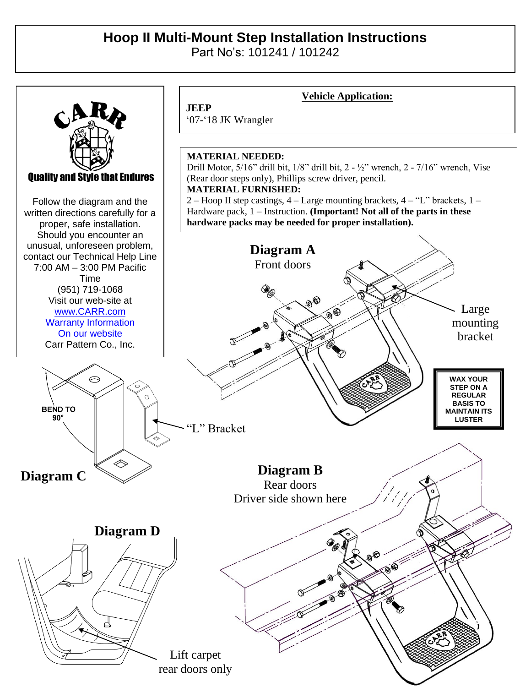## **Hoop II Multi-Mount Step Installation Instructions**

Part No's: 101241 / 101242